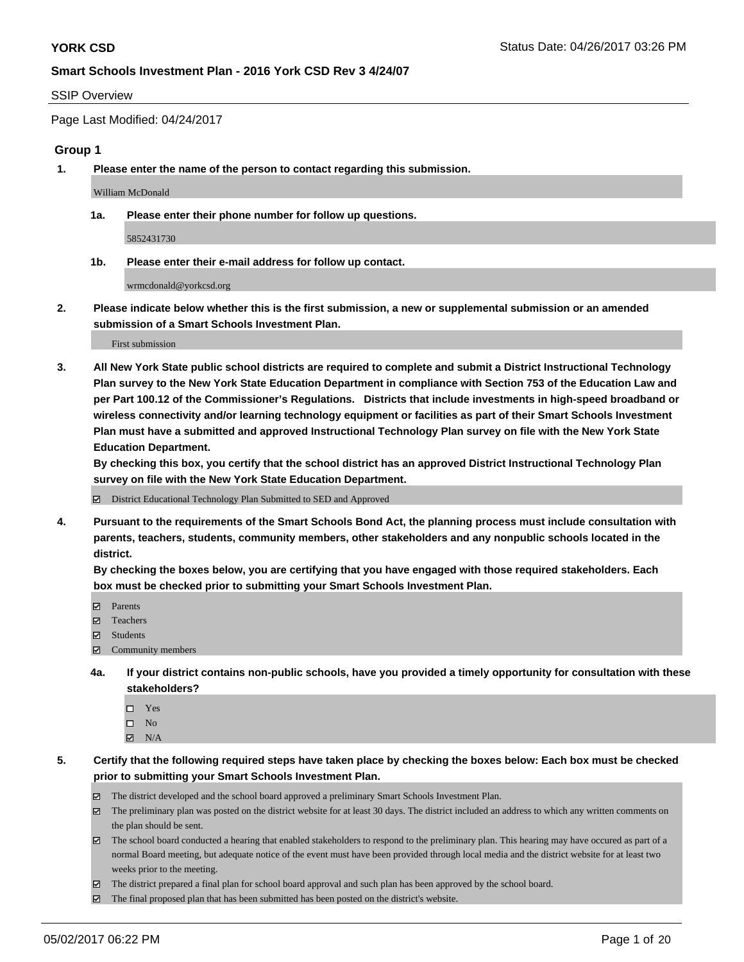#### SSIP Overview

Page Last Modified: 04/24/2017

#### **Group 1**

**1. Please enter the name of the person to contact regarding this submission.**

William McDonald

**1a. Please enter their phone number for follow up questions.**

5852431730

**1b. Please enter their e-mail address for follow up contact.**

wrmcdonald@yorkcsd.org

**2. Please indicate below whether this is the first submission, a new or supplemental submission or an amended submission of a Smart Schools Investment Plan.**

First submission

**3. All New York State public school districts are required to complete and submit a District Instructional Technology Plan survey to the New York State Education Department in compliance with Section 753 of the Education Law and per Part 100.12 of the Commissioner's Regulations. Districts that include investments in high-speed broadband or wireless connectivity and/or learning technology equipment or facilities as part of their Smart Schools Investment Plan must have a submitted and approved Instructional Technology Plan survey on file with the New York State Education Department.** 

**By checking this box, you certify that the school district has an approved District Instructional Technology Plan survey on file with the New York State Education Department.**

District Educational Technology Plan Submitted to SED and Approved

**4. Pursuant to the requirements of the Smart Schools Bond Act, the planning process must include consultation with parents, teachers, students, community members, other stakeholders and any nonpublic schools located in the district.** 

**By checking the boxes below, you are certifying that you have engaged with those required stakeholders. Each box must be checked prior to submitting your Smart Schools Investment Plan.**

- **マ** Parents
- □ Teachers
- Students
- $\Xi$  Community members
- **4a. If your district contains non-public schools, have you provided a timely opportunity for consultation with these stakeholders?**
	- Yes
	- $\hfill \square$  No
	- $\boxtimes$  N/A
- **5. Certify that the following required steps have taken place by checking the boxes below: Each box must be checked prior to submitting your Smart Schools Investment Plan.**
	- The district developed and the school board approved a preliminary Smart Schools Investment Plan.
	- $\boxtimes$  The preliminary plan was posted on the district website for at least 30 days. The district included an address to which any written comments on the plan should be sent.
	- $\boxtimes$  The school board conducted a hearing that enabled stakeholders to respond to the preliminary plan. This hearing may have occured as part of a normal Board meeting, but adequate notice of the event must have been provided through local media and the district website for at least two weeks prior to the meeting.
	- The district prepared a final plan for school board approval and such plan has been approved by the school board.
	- $\boxtimes$  The final proposed plan that has been submitted has been posted on the district's website.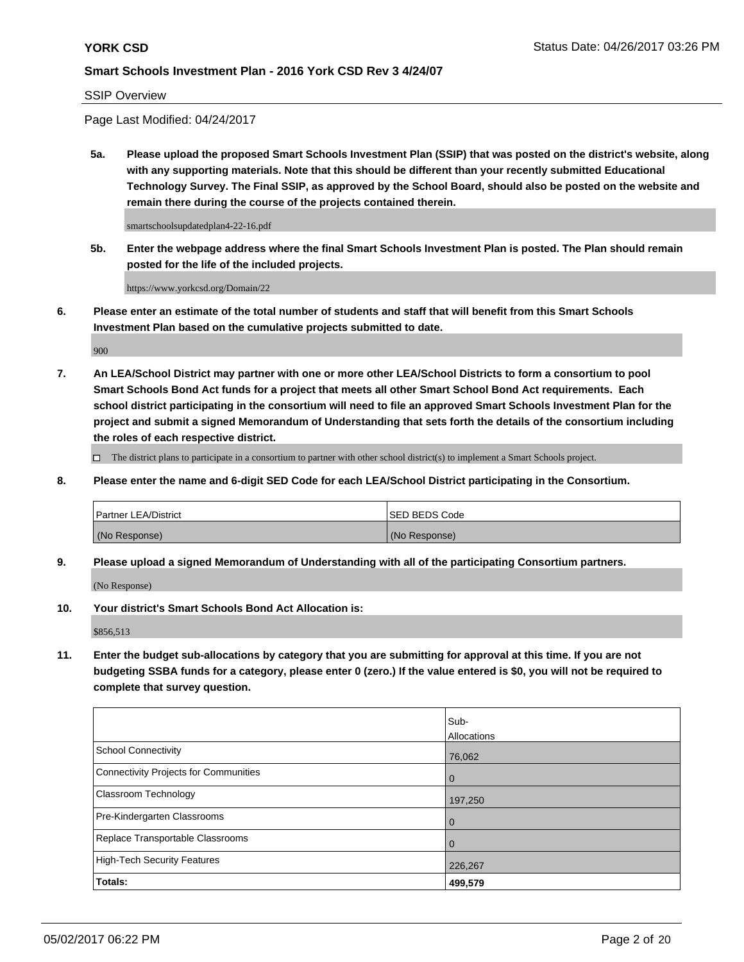SSIP Overview

Page Last Modified: 04/24/2017

**5a. Please upload the proposed Smart Schools Investment Plan (SSIP) that was posted on the district's website, along with any supporting materials. Note that this should be different than your recently submitted Educational Technology Survey. The Final SSIP, as approved by the School Board, should also be posted on the website and remain there during the course of the projects contained therein.**

smartschoolsupdatedplan4-22-16.pdf

**5b. Enter the webpage address where the final Smart Schools Investment Plan is posted. The Plan should remain posted for the life of the included projects.**

https://www.yorkcsd.org/Domain/22

**6. Please enter an estimate of the total number of students and staff that will benefit from this Smart Schools Investment Plan based on the cumulative projects submitted to date.**

900

**7. An LEA/School District may partner with one or more other LEA/School Districts to form a consortium to pool Smart Schools Bond Act funds for a project that meets all other Smart School Bond Act requirements. Each school district participating in the consortium will need to file an approved Smart Schools Investment Plan for the project and submit a signed Memorandum of Understanding that sets forth the details of the consortium including the roles of each respective district.**

 $\Box$  The district plans to participate in a consortium to partner with other school district(s) to implement a Smart Schools project.

**8. Please enter the name and 6-digit SED Code for each LEA/School District participating in the Consortium.**

| <b>Partner LEA/District</b> | <b>ISED BEDS Code</b> |
|-----------------------------|-----------------------|
| (No Response)               | (No Response)         |

**9. Please upload a signed Memorandum of Understanding with all of the participating Consortium partners.**

(No Response)

**10. Your district's Smart Schools Bond Act Allocation is:**

\$856,513

**11. Enter the budget sub-allocations by category that you are submitting for approval at this time. If you are not budgeting SSBA funds for a category, please enter 0 (zero.) If the value entered is \$0, you will not be required to complete that survey question.**

|                                              | lSub-          |
|----------------------------------------------|----------------|
|                                              | Allocations    |
| <b>School Connectivity</b>                   | 76,062         |
| <b>Connectivity Projects for Communities</b> | $\overline{0}$ |
| Classroom Technology                         | 197,250        |
| Pre-Kindergarten Classrooms                  | $\overline{0}$ |
| Replace Transportable Classrooms             | $\overline{0}$ |
| <b>High-Tech Security Features</b>           | 226,267        |
| Totals:                                      | 499,579        |
|                                              |                |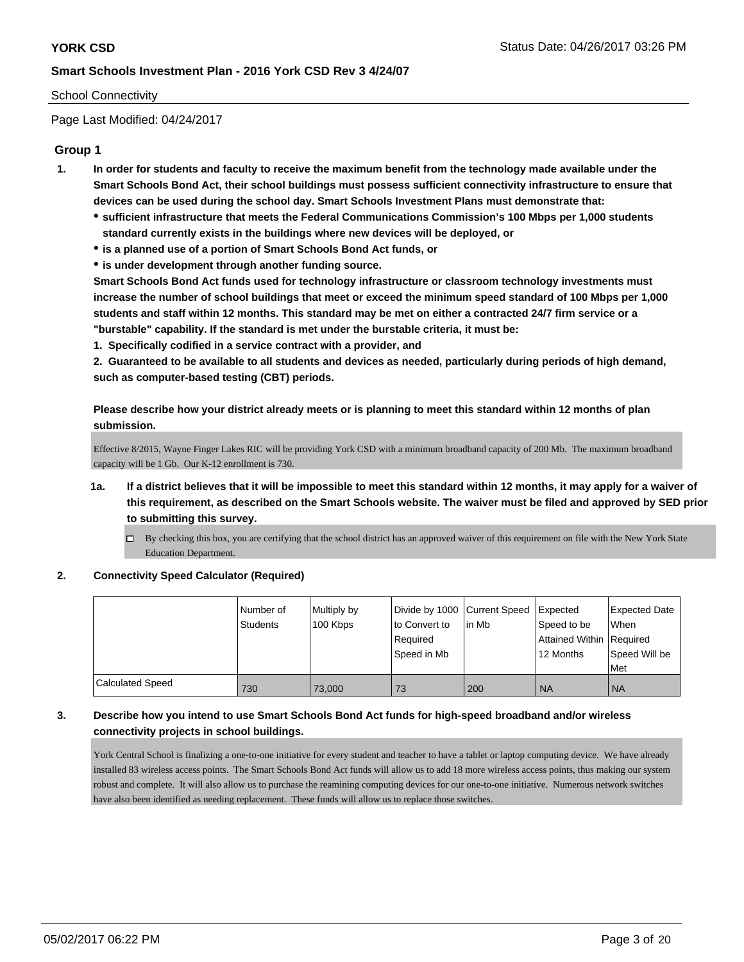#### School Connectivity

Page Last Modified: 04/24/2017

## **Group 1**

- **1. In order for students and faculty to receive the maximum benefit from the technology made available under the Smart Schools Bond Act, their school buildings must possess sufficient connectivity infrastructure to ensure that devices can be used during the school day. Smart Schools Investment Plans must demonstrate that:**
	- **sufficient infrastructure that meets the Federal Communications Commission's 100 Mbps per 1,000 students standard currently exists in the buildings where new devices will be deployed, or**
	- **is a planned use of a portion of Smart Schools Bond Act funds, or**
	- **is under development through another funding source.**

**Smart Schools Bond Act funds used for technology infrastructure or classroom technology investments must increase the number of school buildings that meet or exceed the minimum speed standard of 100 Mbps per 1,000 students and staff within 12 months. This standard may be met on either a contracted 24/7 firm service or a "burstable" capability. If the standard is met under the burstable criteria, it must be:**

**1. Specifically codified in a service contract with a provider, and**

**2. Guaranteed to be available to all students and devices as needed, particularly during periods of high demand, such as computer-based testing (CBT) periods.**

**Please describe how your district already meets or is planning to meet this standard within 12 months of plan submission.**

Effective 8/2015, Wayne Finger Lakes RIC will be providing York CSD with a minimum broadband capacity of 200 Mb. The maximum broadband capacity will be 1 Gb. Our K-12 enrollment is 730.

- **1a. If a district believes that it will be impossible to meet this standard within 12 months, it may apply for a waiver of this requirement, as described on the Smart Schools website. The waiver must be filed and approved by SED prior to submitting this survey.**
	- $\Box$  By checking this box, you are certifying that the school district has an approved waiver of this requirement on file with the New York State Education Department.

#### **2. Connectivity Speed Calculator (Required)**

|                         | l Number of<br>Students | Multiply by<br>100 Kbps | Divide by 1000 Current Speed<br>to Convert to<br>Required<br>Speed in Mb | in Mb | Expected<br>Speed to be<br>Attained Within Required<br>12 Months | <b>Expected Date</b><br><b>When</b><br>Speed Will be<br>Met |
|-------------------------|-------------------------|-------------------------|--------------------------------------------------------------------------|-------|------------------------------------------------------------------|-------------------------------------------------------------|
| <b>Calculated Speed</b> | 730                     | 73,000                  | 73                                                                       | 200   | <b>NA</b>                                                        | <b>NA</b>                                                   |

## **3. Describe how you intend to use Smart Schools Bond Act funds for high-speed broadband and/or wireless connectivity projects in school buildings.**

York Central School is finalizing a one-to-one initiative for every student and teacher to have a tablet or laptop computing device. We have already installed 83 wireless access points. The Smart Schools Bond Act funds will allow us to add 18 more wireless access points, thus making our system robust and complete. It will also allow us to purchase the reamining computing devices for our one-to-one initiative. Numerous network switches have also been identified as needing replacement. These funds will allow us to replace those switches.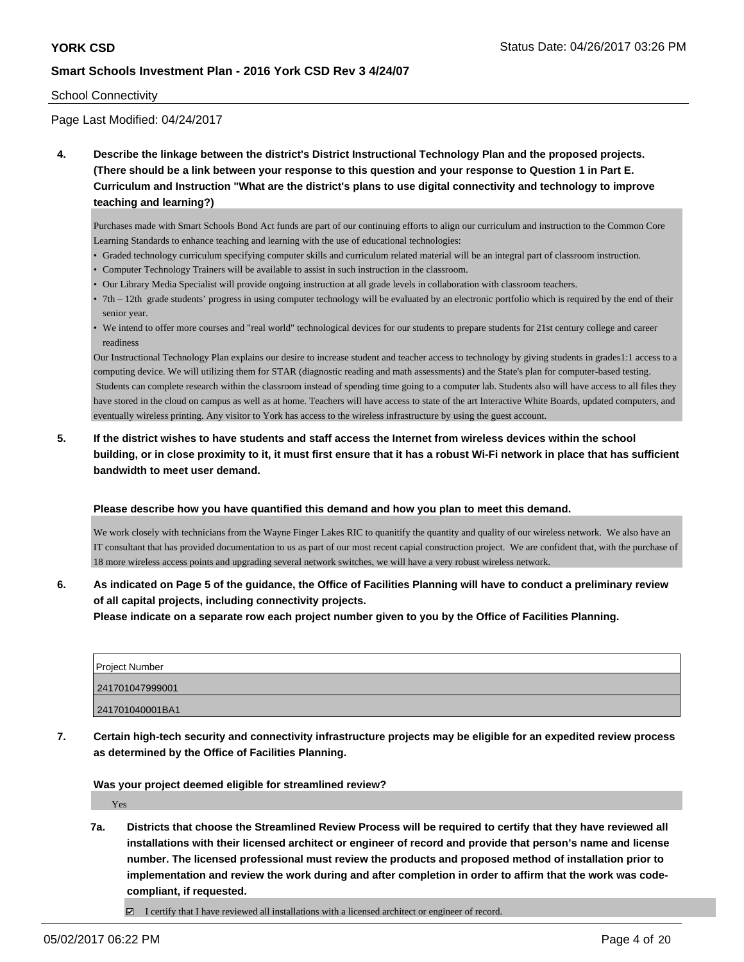#### School Connectivity

Page Last Modified: 04/24/2017

**4. Describe the linkage between the district's District Instructional Technology Plan and the proposed projects. (There should be a link between your response to this question and your response to Question 1 in Part E. Curriculum and Instruction "What are the district's plans to use digital connectivity and technology to improve teaching and learning?)**

Purchases made with Smart Schools Bond Act funds are part of our continuing efforts to align our curriculum and instruction to the Common Core Learning Standards to enhance teaching and learning with the use of educational technologies:

- Graded technology curriculum specifying computer skills and curriculum related material will be an integral part of classroom instruction.
- Computer Technology Trainers will be available to assist in such instruction in the classroom.
- Our Library Media Specialist will provide ongoing instruction at all grade levels in collaboration with classroom teachers.
- 7th 12th grade students' progress in using computer technology will be evaluated by an electronic portfolio which is required by the end of their senior year.
- We intend to offer more courses and "real world" technological devices for our students to prepare students for 21st century college and career readiness

Our Instructional Technology Plan explains our desire to increase student and teacher access to technology by giving students in grades1:1 access to a computing device. We will utilizing them for STAR (diagnostic reading and math assessments) and the State's plan for computer-based testing. Students can complete research within the classroom instead of spending time going to a computer lab. Students also will have access to all files they have stored in the cloud on campus as well as at home. Teachers will have access to state of the art Interactive White Boards, updated computers, and eventually wireless printing. Any visitor to York has access to the wireless infrastructure by using the guest account.

**5. If the district wishes to have students and staff access the Internet from wireless devices within the school building, or in close proximity to it, it must first ensure that it has a robust Wi-Fi network in place that has sufficient bandwidth to meet user demand.**

#### **Please describe how you have quantified this demand and how you plan to meet this demand.**

We work closely with technicians from the Wayne Finger Lakes RIC to quanitify the quantity and quality of our wireless network. We also have an IT consultant that has provided documentation to us as part of our most recent capial construction project. We are confident that, with the purchase of 18 more wireless access points and upgrading several network switches, we will have a very robust wireless network.

**6. As indicated on Page 5 of the guidance, the Office of Facilities Planning will have to conduct a preliminary review of all capital projects, including connectivity projects.**

**Please indicate on a separate row each project number given to you by the Office of Facilities Planning.**

| Project Number  |  |
|-----------------|--|
| 241701047999001 |  |
| 241701040001BA1 |  |

**7. Certain high-tech security and connectivity infrastructure projects may be eligible for an expedited review process as determined by the Office of Facilities Planning.**

**Was your project deemed eligible for streamlined review?**

Yes

**7a. Districts that choose the Streamlined Review Process will be required to certify that they have reviewed all installations with their licensed architect or engineer of record and provide that person's name and license number. The licensed professional must review the products and proposed method of installation prior to implementation and review the work during and after completion in order to affirm that the work was codecompliant, if requested.**

 $\Box$  I certify that I have reviewed all installations with a licensed architect or engineer of record.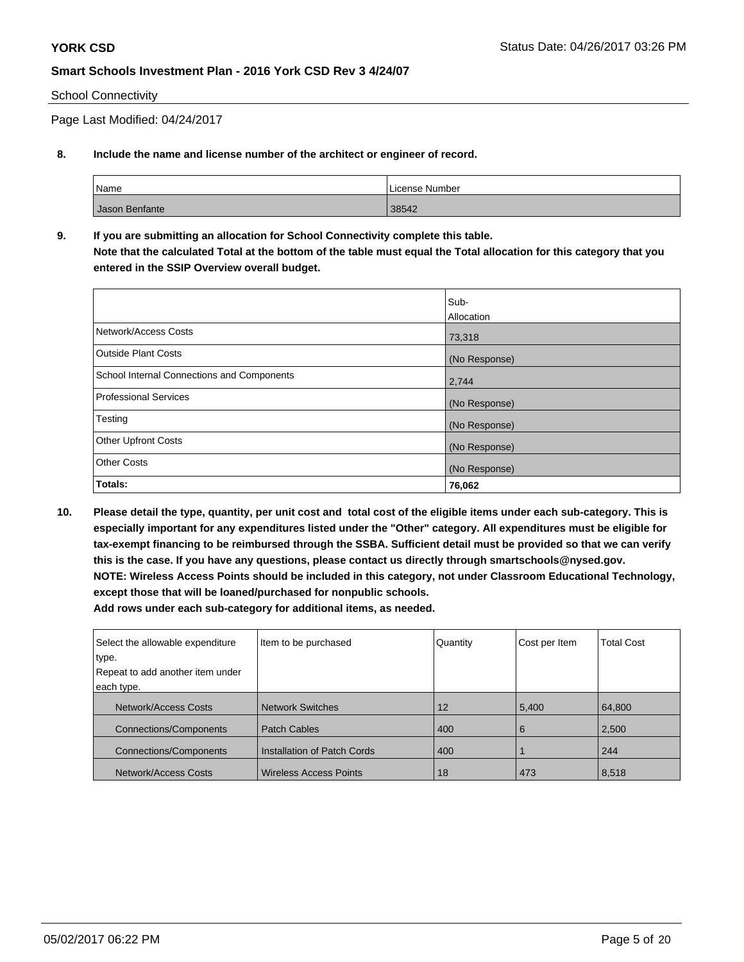#### School Connectivity

Page Last Modified: 04/24/2017

### **8. Include the name and license number of the architect or engineer of record.**

| <sup>'</sup> Name | License Number |
|-------------------|----------------|
| Jason Benfante    | 38542          |

**9. If you are submitting an allocation for School Connectivity complete this table. Note that the calculated Total at the bottom of the table must equal the Total allocation for this category that you entered in the SSIP Overview overall budget.** 

|                                                   | Sub-<br>Allocation |
|---------------------------------------------------|--------------------|
| Network/Access Costs                              | 73,318             |
| Outside Plant Costs                               | (No Response)      |
| <b>School Internal Connections and Components</b> | 2,744              |
| <b>Professional Services</b>                      | (No Response)      |
| Testing                                           | (No Response)      |
| <b>Other Upfront Costs</b>                        | (No Response)      |
| <b>Other Costs</b>                                | (No Response)      |
| Totals:                                           | 76,062             |

**10. Please detail the type, quantity, per unit cost and total cost of the eligible items under each sub-category. This is especially important for any expenditures listed under the "Other" category. All expenditures must be eligible for tax-exempt financing to be reimbursed through the SSBA. Sufficient detail must be provided so that we can verify this is the case. If you have any questions, please contact us directly through smartschools@nysed.gov. NOTE: Wireless Access Points should be included in this category, not under Classroom Educational Technology, except those that will be loaned/purchased for nonpublic schools.**

| Select the allowable expenditure | Item to be purchased          | Quantity | Cost per Item | <b>Total Cost</b> |
|----------------------------------|-------------------------------|----------|---------------|-------------------|
| type.                            |                               |          |               |                   |
| Repeat to add another item under |                               |          |               |                   |
| each type.                       |                               |          |               |                   |
| Network/Access Costs             | <b>Network Switches</b>       | 12       | 5,400         | 64,800            |
| <b>Connections/Components</b>    | <b>Patch Cables</b>           | 400      | 6             | 2,500             |
| <b>Connections/Components</b>    | Installation of Patch Cords   | 400      |               | 244               |
| Network/Access Costs             | <b>Wireless Access Points</b> | 18       | 473           | 8,518             |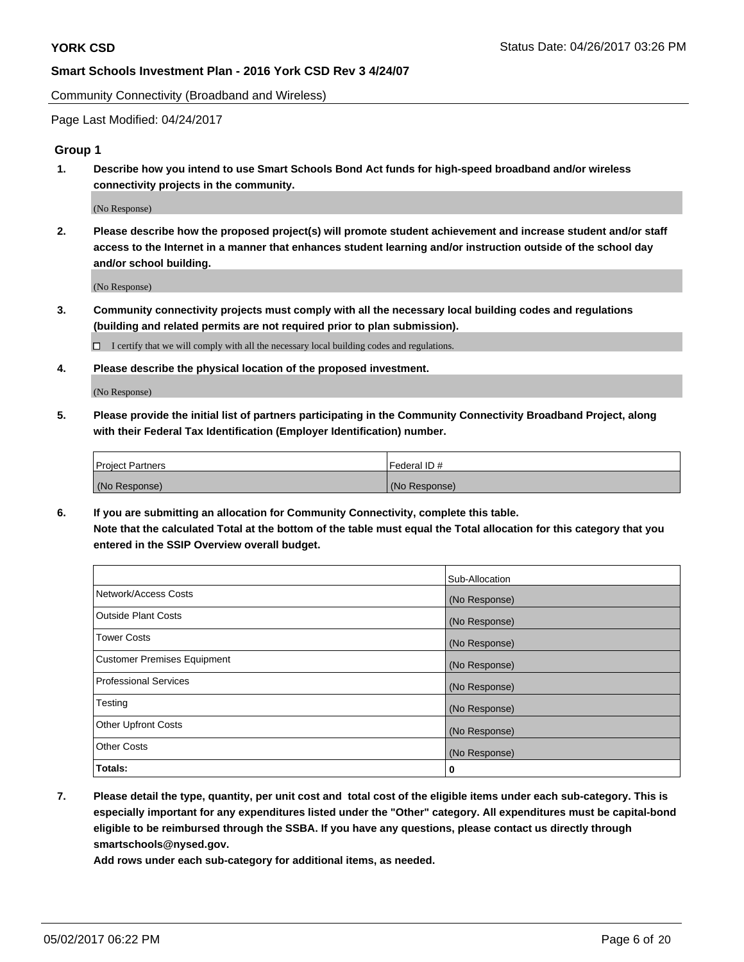Community Connectivity (Broadband and Wireless)

Page Last Modified: 04/24/2017

#### **Group 1**

**1. Describe how you intend to use Smart Schools Bond Act funds for high-speed broadband and/or wireless connectivity projects in the community.**

(No Response)

**2. Please describe how the proposed project(s) will promote student achievement and increase student and/or staff access to the Internet in a manner that enhances student learning and/or instruction outside of the school day and/or school building.**

(No Response)

**3. Community connectivity projects must comply with all the necessary local building codes and regulations (building and related permits are not required prior to plan submission).**

 $\Box$  I certify that we will comply with all the necessary local building codes and regulations.

**4. Please describe the physical location of the proposed investment.**

(No Response)

**5. Please provide the initial list of partners participating in the Community Connectivity Broadband Project, along with their Federal Tax Identification (Employer Identification) number.**

| <b>Project Partners</b> | l Federal ID # |
|-------------------------|----------------|
| (No Response)           | (No Response)  |

**6. If you are submitting an allocation for Community Connectivity, complete this table. Note that the calculated Total at the bottom of the table must equal the Total allocation for this category that you entered in the SSIP Overview overall budget.**

|                                    | Sub-Allocation |
|------------------------------------|----------------|
| Network/Access Costs               | (No Response)  |
| Outside Plant Costs                | (No Response)  |
| <b>Tower Costs</b>                 | (No Response)  |
| <b>Customer Premises Equipment</b> | (No Response)  |
| <b>Professional Services</b>       | (No Response)  |
| Testing                            | (No Response)  |
| <b>Other Upfront Costs</b>         | (No Response)  |
| <b>Other Costs</b>                 | (No Response)  |
| Totals:                            | 0              |

**7. Please detail the type, quantity, per unit cost and total cost of the eligible items under each sub-category. This is especially important for any expenditures listed under the "Other" category. All expenditures must be capital-bond eligible to be reimbursed through the SSBA. If you have any questions, please contact us directly through smartschools@nysed.gov.**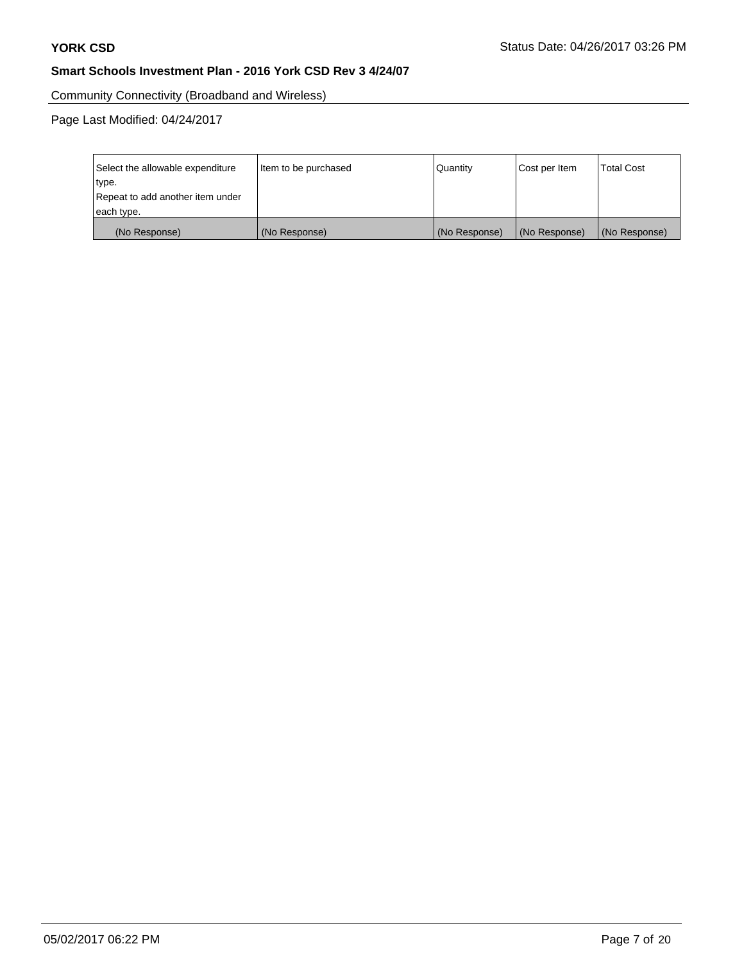Community Connectivity (Broadband and Wireless)

| Select the allowable expenditure | Item to be purchased | <b>Quantity</b> | Cost per Item | <b>Total Cost</b> |
|----------------------------------|----------------------|-----------------|---------------|-------------------|
| type.                            |                      |                 |               |                   |
| Repeat to add another item under |                      |                 |               |                   |
| each type.                       |                      |                 |               |                   |
| (No Response)                    | (No Response)        | (No Response)   | (No Response) | (No Response)     |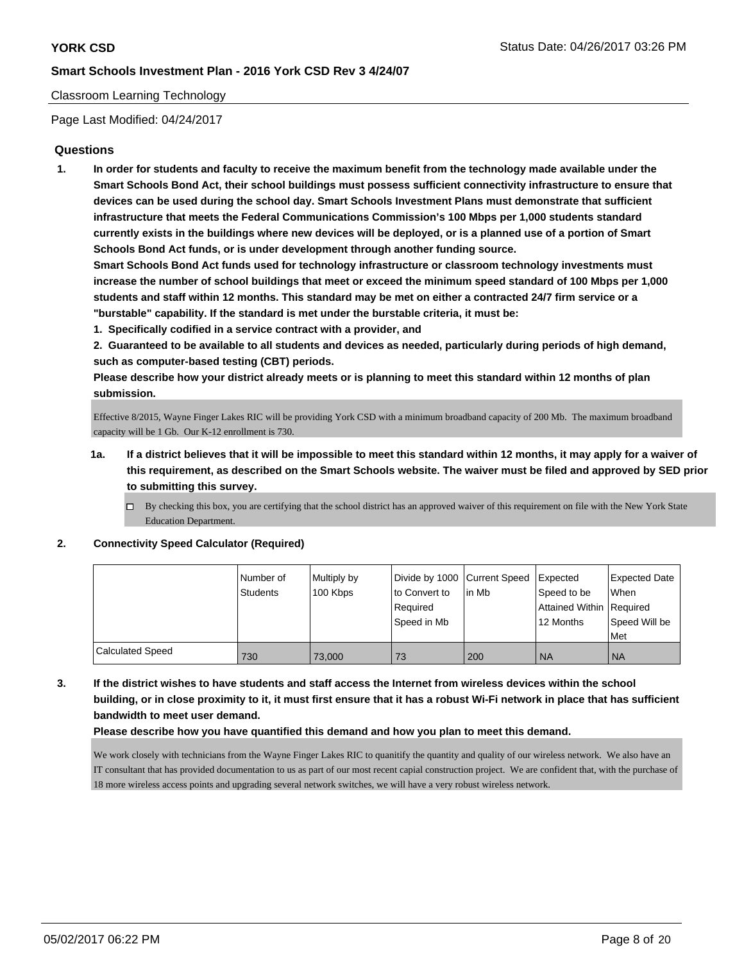#### Classroom Learning Technology

Page Last Modified: 04/24/2017

### **Questions**

**1. In order for students and faculty to receive the maximum benefit from the technology made available under the Smart Schools Bond Act, their school buildings must possess sufficient connectivity infrastructure to ensure that devices can be used during the school day. Smart Schools Investment Plans must demonstrate that sufficient infrastructure that meets the Federal Communications Commission's 100 Mbps per 1,000 students standard currently exists in the buildings where new devices will be deployed, or is a planned use of a portion of Smart Schools Bond Act funds, or is under development through another funding source.**

**Smart Schools Bond Act funds used for technology infrastructure or classroom technology investments must increase the number of school buildings that meet or exceed the minimum speed standard of 100 Mbps per 1,000 students and staff within 12 months. This standard may be met on either a contracted 24/7 firm service or a "burstable" capability. If the standard is met under the burstable criteria, it must be:**

**1. Specifically codified in a service contract with a provider, and**

**2. Guaranteed to be available to all students and devices as needed, particularly during periods of high demand, such as computer-based testing (CBT) periods.**

**Please describe how your district already meets or is planning to meet this standard within 12 months of plan submission.**

Effective 8/2015, Wayne Finger Lakes RIC will be providing York CSD with a minimum broadband capacity of 200 Mb. The maximum broadband capacity will be 1 Gb. Our K-12 enrollment is 730.

- **1a. If a district believes that it will be impossible to meet this standard within 12 months, it may apply for a waiver of this requirement, as described on the Smart Schools website. The waiver must be filed and approved by SED prior to submitting this survey.**
	- $\Box$  By checking this box, you are certifying that the school district has an approved waiver of this requirement on file with the New York State Education Department.

#### **2. Connectivity Speed Calculator (Required)**

|                         | I Number of<br>Students | Multiply by<br>100 Kbps | to Convert to<br>Required<br>Speed in Mb | Divide by 1000 Current Speed Expected<br>l in Mb | Speed to be<br>Attained Within Required<br>l 12 Months | Expected Date<br>When<br>Speed Will be<br>Met |
|-------------------------|-------------------------|-------------------------|------------------------------------------|--------------------------------------------------|--------------------------------------------------------|-----------------------------------------------|
| <b>Calculated Speed</b> | 730                     | 73,000                  | 73                                       | 200                                              | <b>NA</b>                                              | <b>NA</b>                                     |

**3. If the district wishes to have students and staff access the Internet from wireless devices within the school building, or in close proximity to it, it must first ensure that it has a robust Wi-Fi network in place that has sufficient bandwidth to meet user demand.**

#### **Please describe how you have quantified this demand and how you plan to meet this demand.**

We work closely with technicians from the Wayne Finger Lakes RIC to quanitify the quantity and quality of our wireless network. We also have an IT consultant that has provided documentation to us as part of our most recent capial construction project. We are confident that, with the purchase of 18 more wireless access points and upgrading several network switches, we will have a very robust wireless network.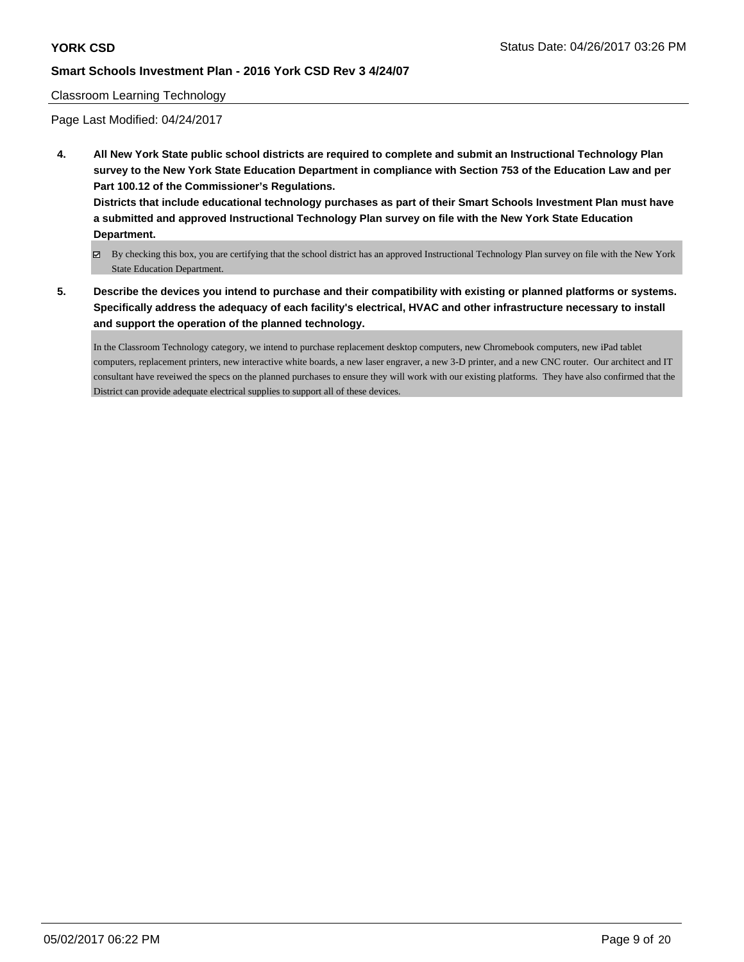#### Classroom Learning Technology

Page Last Modified: 04/24/2017

**4. All New York State public school districts are required to complete and submit an Instructional Technology Plan survey to the New York State Education Department in compliance with Section 753 of the Education Law and per Part 100.12 of the Commissioner's Regulations.**

**Districts that include educational technology purchases as part of their Smart Schools Investment Plan must have a submitted and approved Instructional Technology Plan survey on file with the New York State Education Department.**

- By checking this box, you are certifying that the school district has an approved Instructional Technology Plan survey on file with the New York State Education Department.
- **5. Describe the devices you intend to purchase and their compatibility with existing or planned platforms or systems. Specifically address the adequacy of each facility's electrical, HVAC and other infrastructure necessary to install and support the operation of the planned technology.**

In the Classroom Technology category, we intend to purchase replacement desktop computers, new Chromebook computers, new iPad tablet computers, replacement printers, new interactive white boards, a new laser engraver, a new 3-D printer, and a new CNC router. Our architect and IT consultant have reveiwed the specs on the planned purchases to ensure they will work with our existing platforms. They have also confirmed that the District can provide adequate electrical supplies to support all of these devices.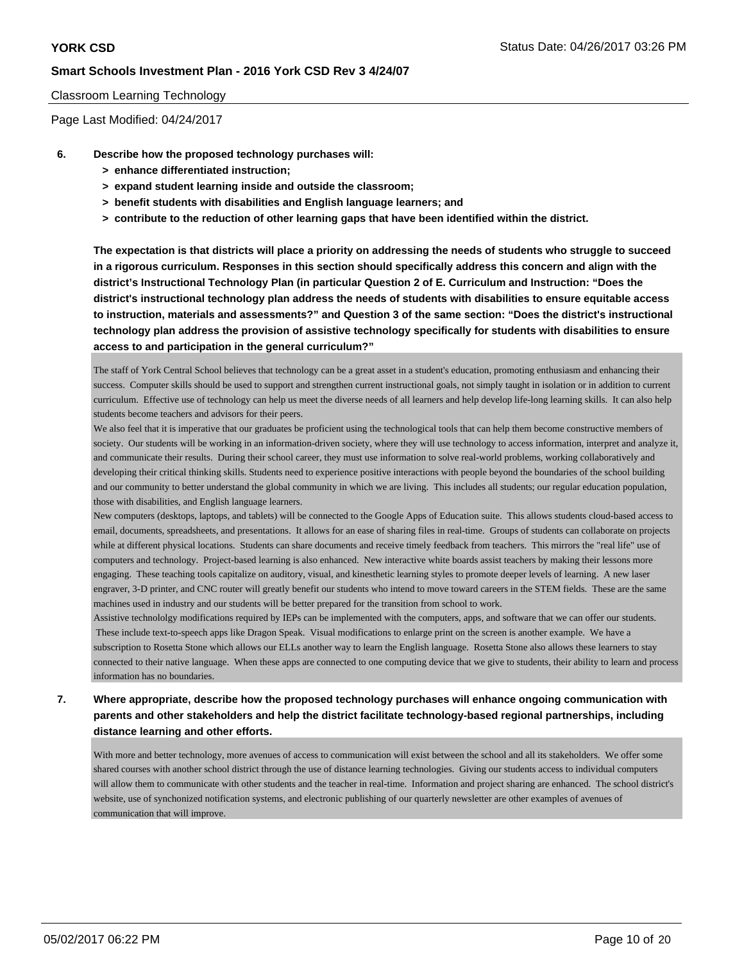#### Classroom Learning Technology

Page Last Modified: 04/24/2017

- **6. Describe how the proposed technology purchases will:**
	- **> enhance differentiated instruction;**
	- **> expand student learning inside and outside the classroom;**
	- **> benefit students with disabilities and English language learners; and**
	- **> contribute to the reduction of other learning gaps that have been identified within the district.**

**The expectation is that districts will place a priority on addressing the needs of students who struggle to succeed in a rigorous curriculum. Responses in this section should specifically address this concern and align with the district's Instructional Technology Plan (in particular Question 2 of E. Curriculum and Instruction: "Does the district's instructional technology plan address the needs of students with disabilities to ensure equitable access to instruction, materials and assessments?" and Question 3 of the same section: "Does the district's instructional technology plan address the provision of assistive technology specifically for students with disabilities to ensure access to and participation in the general curriculum?"**

The staff of York Central School believes that technology can be a great asset in a student's education, promoting enthusiasm and enhancing their success. Computer skills should be used to support and strengthen current instructional goals, not simply taught in isolation or in addition to current curriculum. Effective use of technology can help us meet the diverse needs of all learners and help develop life-long learning skills. It can also help students become teachers and advisors for their peers.

We also feel that it is imperative that our graduates be proficient using the technological tools that can help them become constructive members of society. Our students will be working in an information-driven society, where they will use technology to access information, interpret and analyze it, and communicate their results. During their school career, they must use information to solve real-world problems, working collaboratively and developing their critical thinking skills. Students need to experience positive interactions with people beyond the boundaries of the school building and our community to better understand the global community in which we are living. This includes all students; our regular education population, those with disabilities, and English language learners.

New computers (desktops, laptops, and tablets) will be connected to the Google Apps of Education suite. This allows students cloud-based access to email, documents, spreadsheets, and presentations. It allows for an ease of sharing files in real-time. Groups of students can collaborate on projects while at different physical locations. Students can share documents and receive timely feedback from teachers. This mirrors the "real life" use of computers and technology. Project-based learning is also enhanced. New interactive white boards assist teachers by making their lessons more engaging. These teaching tools capitalize on auditory, visual, and kinesthetic learning styles to promote deeper levels of learning. A new laser engraver, 3-D printer, and CNC router will greatly benefit our students who intend to move toward careers in the STEM fields. These are the same machines used in industry and our students will be better prepared for the transition from school to work.

Assistive technololgy modifications required by IEPs can be implemented with the computers, apps, and software that we can offer our students. These include text-to-speech apps like Dragon Speak. Visual modifications to enlarge print on the screen is another example. We have a subscription to Rosetta Stone which allows our ELLs another way to learn the English language. Rosetta Stone also allows these learners to stay connected to their native language. When these apps are connected to one computing device that we give to students, their ability to learn and process information has no boundaries.

**7. Where appropriate, describe how the proposed technology purchases will enhance ongoing communication with parents and other stakeholders and help the district facilitate technology-based regional partnerships, including distance learning and other efforts.**

With more and better technology, more avenues of access to communication will exist between the school and all its stakeholders. We offer some shared courses with another school district through the use of distance learning technologies. Giving our students access to individual computers will allow them to communicate with other students and the teacher in real-time. Information and project sharing are enhanced. The school district's website, use of synchonized notification systems, and electronic publishing of our quarterly newsletter are other examples of avenues of communication that will improve.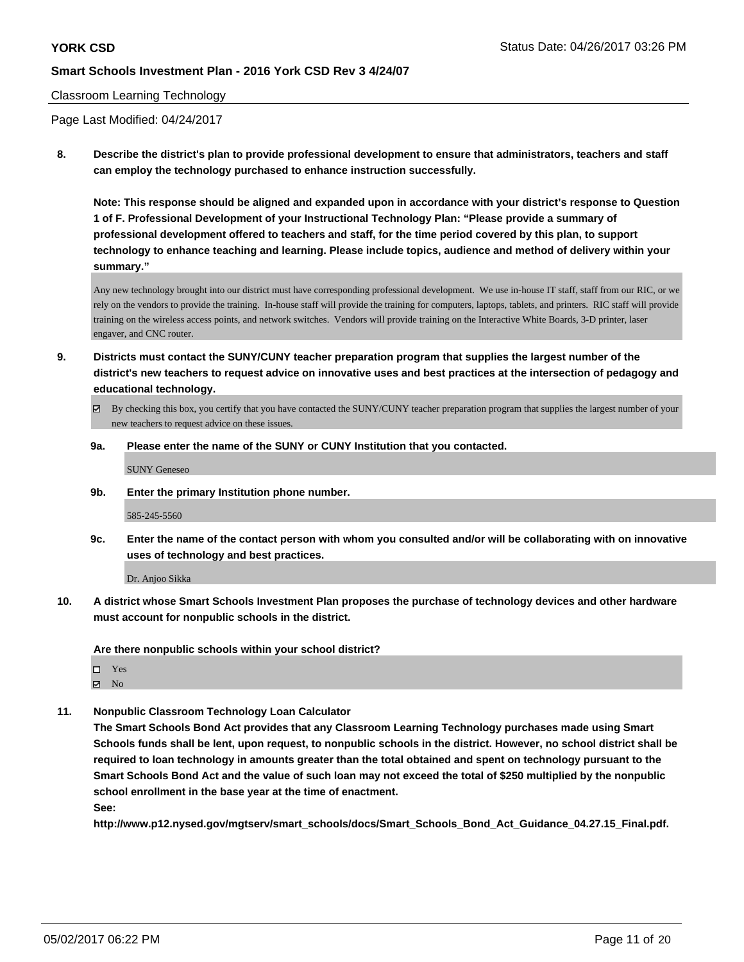#### Classroom Learning Technology

Page Last Modified: 04/24/2017

**8. Describe the district's plan to provide professional development to ensure that administrators, teachers and staff can employ the technology purchased to enhance instruction successfully.**

**Note: This response should be aligned and expanded upon in accordance with your district's response to Question 1 of F. Professional Development of your Instructional Technology Plan: "Please provide a summary of professional development offered to teachers and staff, for the time period covered by this plan, to support technology to enhance teaching and learning. Please include topics, audience and method of delivery within your summary."**

Any new technology brought into our district must have corresponding professional development. We use in-house IT staff, staff from our RIC, or we rely on the vendors to provide the training. In-house staff will provide the training for computers, laptops, tablets, and printers. RIC staff will provide training on the wireless access points, and network switches. Vendors will provide training on the Interactive White Boards, 3-D printer, laser engaver, and CNC router.

- **9. Districts must contact the SUNY/CUNY teacher preparation program that supplies the largest number of the district's new teachers to request advice on innovative uses and best practices at the intersection of pedagogy and educational technology.**
	- By checking this box, you certify that you have contacted the SUNY/CUNY teacher preparation program that supplies the largest number of your new teachers to request advice on these issues.
	- **9a. Please enter the name of the SUNY or CUNY Institution that you contacted.**

SUNY Geneseo

**9b. Enter the primary Institution phone number.**

585-245-5560

**9c. Enter the name of the contact person with whom you consulted and/or will be collaborating with on innovative uses of technology and best practices.**

Dr. Anjoo Sikka

**10. A district whose Smart Schools Investment Plan proposes the purchase of technology devices and other hardware must account for nonpublic schools in the district.**

**Are there nonpublic schools within your school district?**

Yes  $\boxtimes$  No

**11. Nonpublic Classroom Technology Loan Calculator**

**The Smart Schools Bond Act provides that any Classroom Learning Technology purchases made using Smart Schools funds shall be lent, upon request, to nonpublic schools in the district. However, no school district shall be required to loan technology in amounts greater than the total obtained and spent on technology pursuant to the Smart Schools Bond Act and the value of such loan may not exceed the total of \$250 multiplied by the nonpublic school enrollment in the base year at the time of enactment.**

**See:**

**http://www.p12.nysed.gov/mgtserv/smart\_schools/docs/Smart\_Schools\_Bond\_Act\_Guidance\_04.27.15\_Final.pdf.**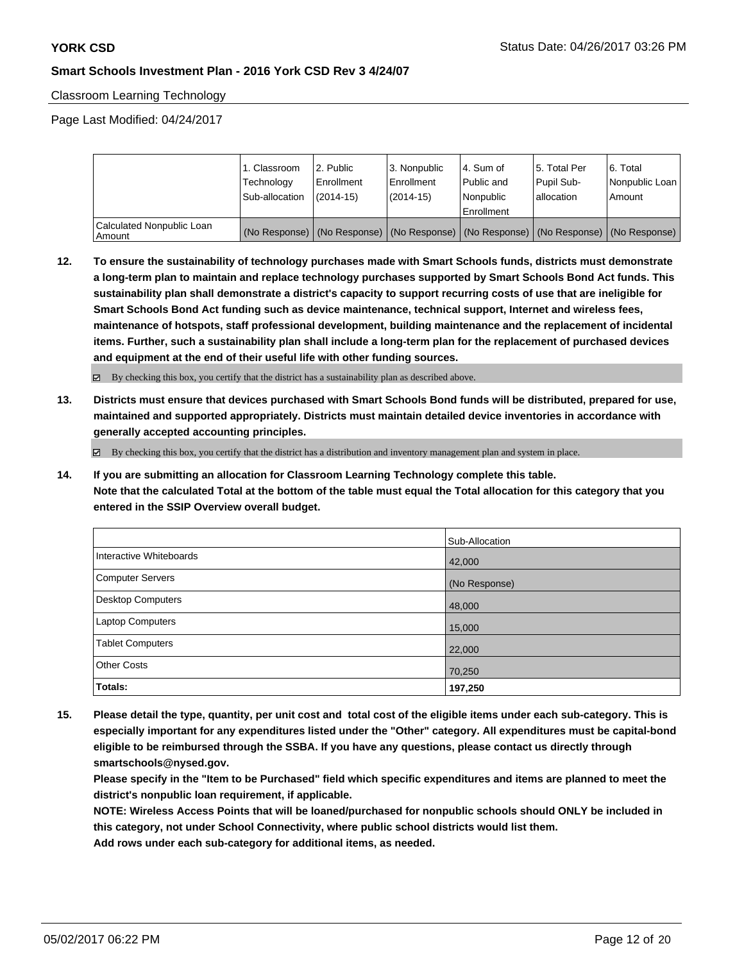Classroom Learning Technology

Page Last Modified: 04/24/2017

|                                     | 1. Classroom<br>Technology<br>Sub-allocation | 12. Public<br>l Enrollment<br>$(2014-15)$ | l 3. Nonpublic<br>Enrollment<br>(2014-15) | l 4. Sum of<br>Public and<br>l Nonpublic<br>Enrollment | 15. Total Per<br>Pupil Sub-<br>lallocation | 6. Total<br>Nonpublic Loan<br>Amount                                                          |
|-------------------------------------|----------------------------------------------|-------------------------------------------|-------------------------------------------|--------------------------------------------------------|--------------------------------------------|-----------------------------------------------------------------------------------------------|
| Calculated Nonpublic Loan<br>Amount |                                              |                                           |                                           |                                                        |                                            | (No Response)   (No Response)   (No Response)   (No Response)   (No Response)   (No Response) |

**12. To ensure the sustainability of technology purchases made with Smart Schools funds, districts must demonstrate a long-term plan to maintain and replace technology purchases supported by Smart Schools Bond Act funds. This sustainability plan shall demonstrate a district's capacity to support recurring costs of use that are ineligible for Smart Schools Bond Act funding such as device maintenance, technical support, Internet and wireless fees, maintenance of hotspots, staff professional development, building maintenance and the replacement of incidental items. Further, such a sustainability plan shall include a long-term plan for the replacement of purchased devices and equipment at the end of their useful life with other funding sources.**

By checking this box, you certify that the district has a sustainability plan as described above.

**13. Districts must ensure that devices purchased with Smart Schools Bond funds will be distributed, prepared for use, maintained and supported appropriately. Districts must maintain detailed device inventories in accordance with generally accepted accounting principles.**

 $\boxtimes$  By checking this box, you certify that the district has a distribution and inventory management plan and system in place.

**14. If you are submitting an allocation for Classroom Learning Technology complete this table. Note that the calculated Total at the bottom of the table must equal the Total allocation for this category that you entered in the SSIP Overview overall budget.**

|                         | Sub-Allocation |
|-------------------------|----------------|
| Interactive Whiteboards | 42,000         |
| Computer Servers        | (No Response)  |
| Desktop Computers       | 48,000         |
| Laptop Computers        | 15,000         |
| <b>Tablet Computers</b> | 22,000         |
| <b>Other Costs</b>      | 70,250         |
| Totals:                 | 197,250        |

**15. Please detail the type, quantity, per unit cost and total cost of the eligible items under each sub-category. This is especially important for any expenditures listed under the "Other" category. All expenditures must be capital-bond eligible to be reimbursed through the SSBA. If you have any questions, please contact us directly through smartschools@nysed.gov.**

**Please specify in the "Item to be Purchased" field which specific expenditures and items are planned to meet the district's nonpublic loan requirement, if applicable.**

**NOTE: Wireless Access Points that will be loaned/purchased for nonpublic schools should ONLY be included in this category, not under School Connectivity, where public school districts would list them.**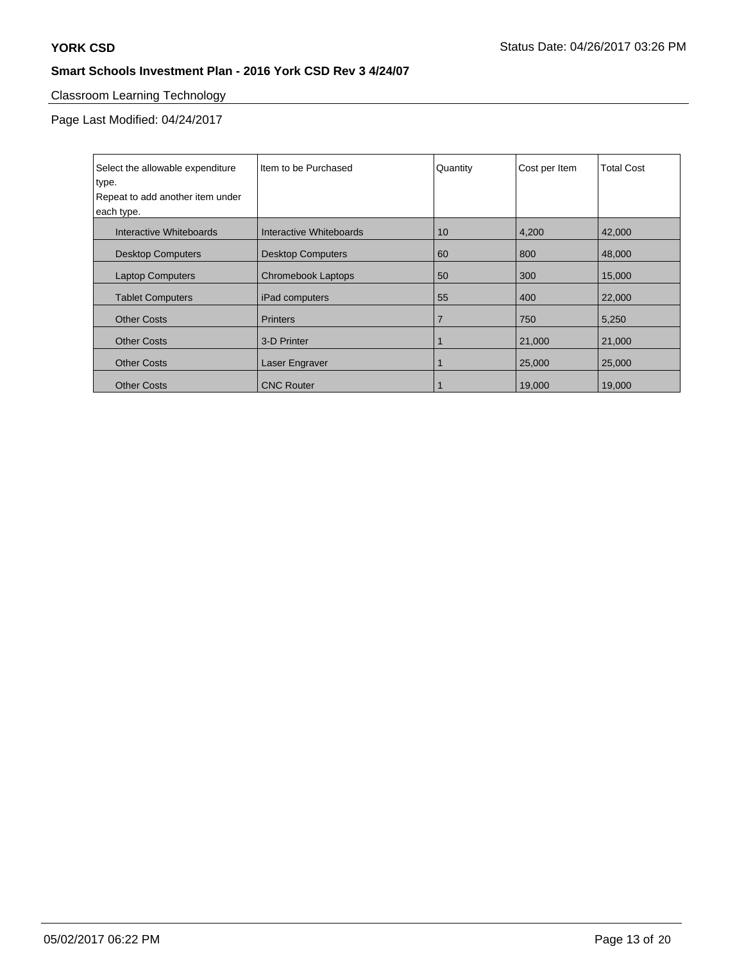# Classroom Learning Technology

| Select the allowable expenditure<br>type.<br>Repeat to add another item under<br>each type. | Iltem to be Purchased    | Quantity | Cost per Item | <b>Total Cost</b> |
|---------------------------------------------------------------------------------------------|--------------------------|----------|---------------|-------------------|
| Interactive Whiteboards                                                                     | Interactive Whiteboards  | 10       | 4,200         | 42,000            |
| <b>Desktop Computers</b>                                                                    | <b>Desktop Computers</b> | 60       | 800           | 48,000            |
| <b>Laptop Computers</b>                                                                     | Chromebook Laptops       | 50       | 300           | 15,000            |
| <b>Tablet Computers</b>                                                                     | iPad computers           | 55       | 400           | 22,000            |
| <b>Other Costs</b>                                                                          | <b>Printers</b>          | 7        | 750           | 5,250             |
| <b>Other Costs</b>                                                                          | 3-D Printer              |          | 21,000        | 21,000            |
| <b>Other Costs</b>                                                                          | Laser Engraver           |          | 25,000        | 25,000            |
| <b>Other Costs</b>                                                                          | <b>CNC Router</b>        |          | 19,000        | 19,000            |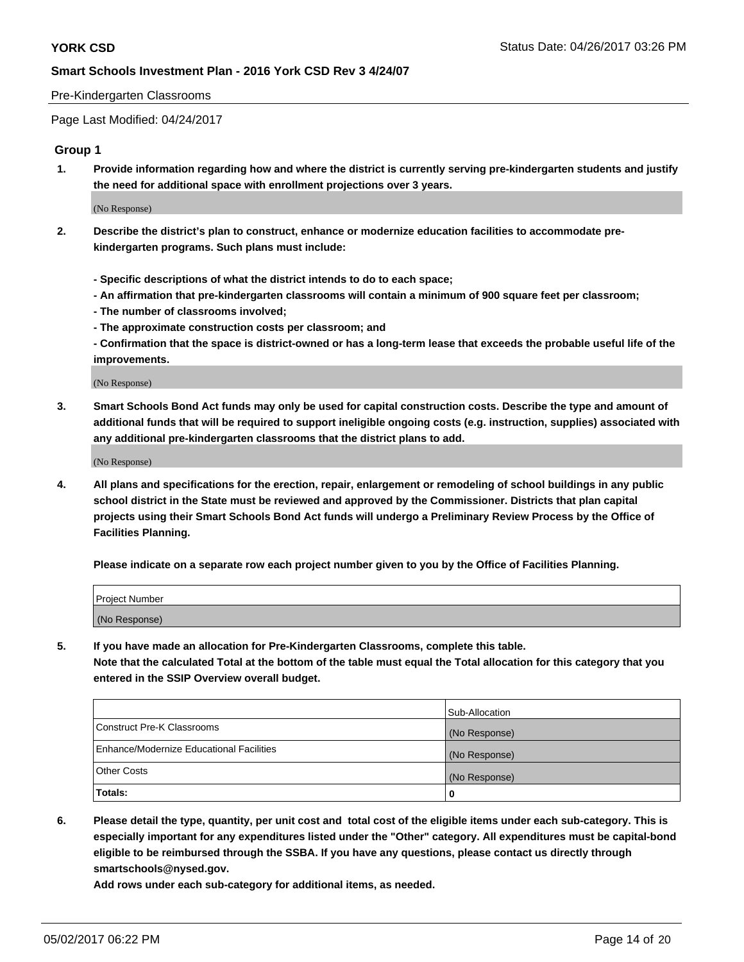#### Pre-Kindergarten Classrooms

Page Last Modified: 04/24/2017

#### **Group 1**

**1. Provide information regarding how and where the district is currently serving pre-kindergarten students and justify the need for additional space with enrollment projections over 3 years.**

(No Response)

- **2. Describe the district's plan to construct, enhance or modernize education facilities to accommodate prekindergarten programs. Such plans must include:**
	- **Specific descriptions of what the district intends to do to each space;**
	- **An affirmation that pre-kindergarten classrooms will contain a minimum of 900 square feet per classroom;**
	- **The number of classrooms involved;**
	- **The approximate construction costs per classroom; and**
	- **Confirmation that the space is district-owned or has a long-term lease that exceeds the probable useful life of the improvements.**

(No Response)

**3. Smart Schools Bond Act funds may only be used for capital construction costs. Describe the type and amount of additional funds that will be required to support ineligible ongoing costs (e.g. instruction, supplies) associated with any additional pre-kindergarten classrooms that the district plans to add.**

(No Response)

**4. All plans and specifications for the erection, repair, enlargement or remodeling of school buildings in any public school district in the State must be reviewed and approved by the Commissioner. Districts that plan capital projects using their Smart Schools Bond Act funds will undergo a Preliminary Review Process by the Office of Facilities Planning.**

**Please indicate on a separate row each project number given to you by the Office of Facilities Planning.**

| Project Number |  |
|----------------|--|
| (No Response)  |  |

**5. If you have made an allocation for Pre-Kindergarten Classrooms, complete this table. Note that the calculated Total at the bottom of the table must equal the Total allocation for this category that you entered in the SSIP Overview overall budget.**

| Totals:                                  | 0              |
|------------------------------------------|----------------|
| Other Costs                              | (No Response)  |
| Enhance/Modernize Educational Facilities | (No Response)  |
| Construct Pre-K Classrooms               | (No Response)  |
|                                          | Sub-Allocation |

**6. Please detail the type, quantity, per unit cost and total cost of the eligible items under each sub-category. This is especially important for any expenditures listed under the "Other" category. All expenditures must be capital-bond eligible to be reimbursed through the SSBA. If you have any questions, please contact us directly through smartschools@nysed.gov.**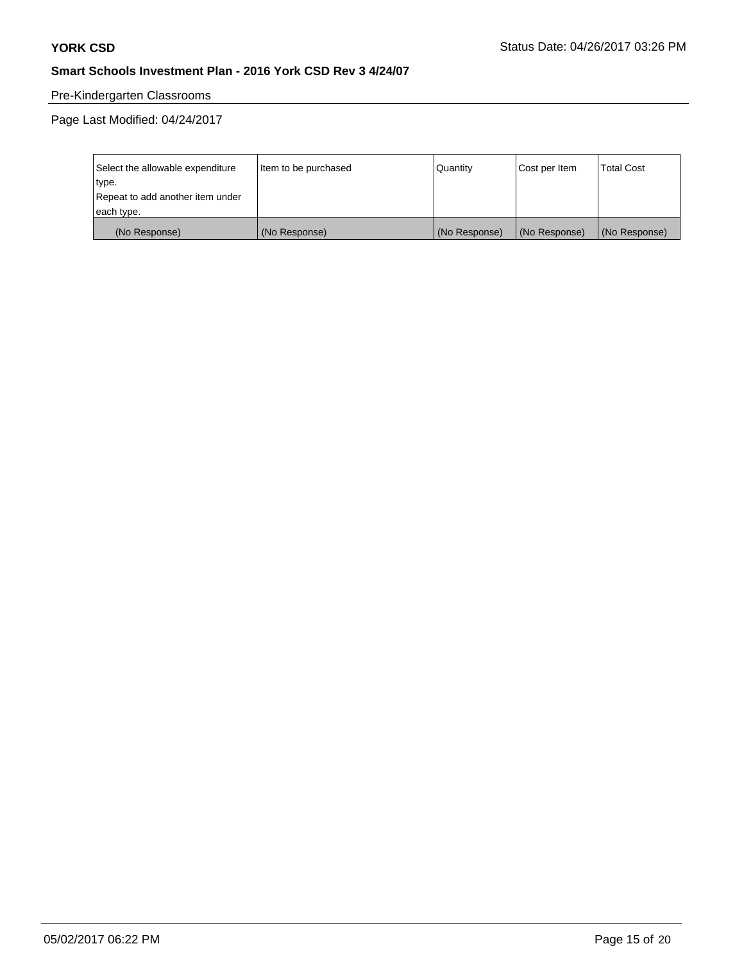# Pre-Kindergarten Classrooms

| Select the allowable expenditure | Item to be purchased | Quantity      | Cost per Item | <b>Total Cost</b> |
|----------------------------------|----------------------|---------------|---------------|-------------------|
| type.                            |                      |               |               |                   |
| Repeat to add another item under |                      |               |               |                   |
| each type.                       |                      |               |               |                   |
| (No Response)                    | (No Response)        | (No Response) | (No Response) | (No Response)     |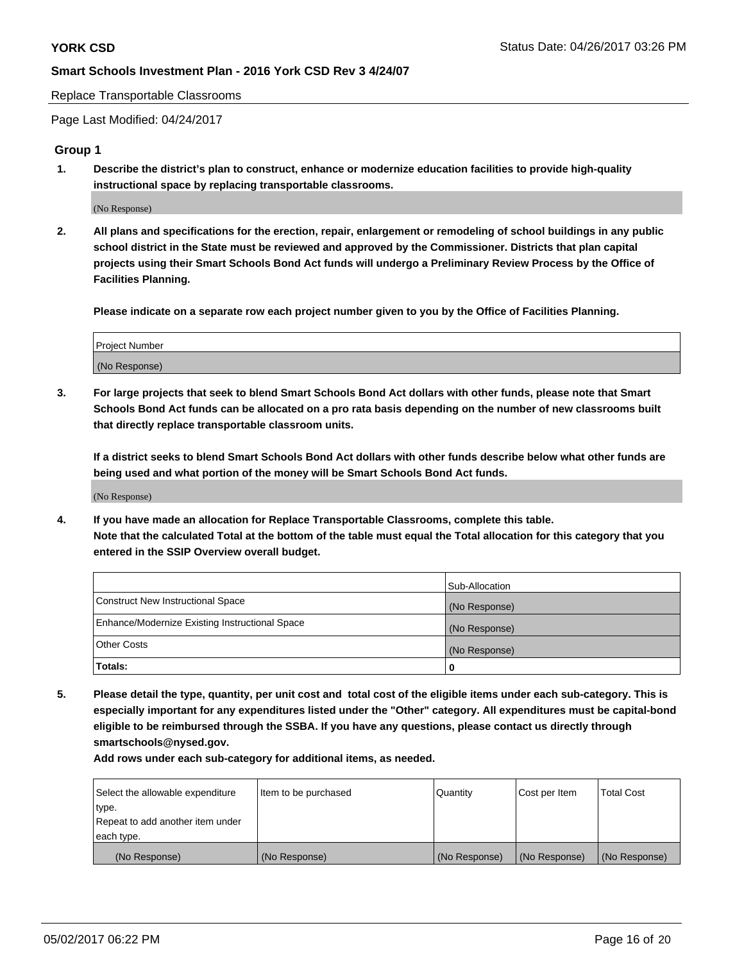Replace Transportable Classrooms

Page Last Modified: 04/24/2017

#### **Group 1**

**1. Describe the district's plan to construct, enhance or modernize education facilities to provide high-quality instructional space by replacing transportable classrooms.**

(No Response)

**2. All plans and specifications for the erection, repair, enlargement or remodeling of school buildings in any public school district in the State must be reviewed and approved by the Commissioner. Districts that plan capital projects using their Smart Schools Bond Act funds will undergo a Preliminary Review Process by the Office of Facilities Planning.**

**Please indicate on a separate row each project number given to you by the Office of Facilities Planning.**

| Project Number |  |
|----------------|--|
| (No Response)  |  |

**3. For large projects that seek to blend Smart Schools Bond Act dollars with other funds, please note that Smart Schools Bond Act funds can be allocated on a pro rata basis depending on the number of new classrooms built that directly replace transportable classroom units.**

**If a district seeks to blend Smart Schools Bond Act dollars with other funds describe below what other funds are being used and what portion of the money will be Smart Schools Bond Act funds.**

(No Response)

**4. If you have made an allocation for Replace Transportable Classrooms, complete this table. Note that the calculated Total at the bottom of the table must equal the Total allocation for this category that you entered in the SSIP Overview overall budget.**

|                                                | Sub-Allocation |
|------------------------------------------------|----------------|
| Construct New Instructional Space              | (No Response)  |
| Enhance/Modernize Existing Instructional Space | (No Response)  |
| Other Costs                                    | (No Response)  |
| Totals:                                        | $\Omega$       |

**5. Please detail the type, quantity, per unit cost and total cost of the eligible items under each sub-category. This is especially important for any expenditures listed under the "Other" category. All expenditures must be capital-bond eligible to be reimbursed through the SSBA. If you have any questions, please contact us directly through smartschools@nysed.gov.**

| Select the allowable expenditure | Item to be purchased | Quantity      | Cost per Item | <b>Total Cost</b> |
|----------------------------------|----------------------|---------------|---------------|-------------------|
| type.                            |                      |               |               |                   |
| Repeat to add another item under |                      |               |               |                   |
| each type.                       |                      |               |               |                   |
| (No Response)                    | (No Response)        | (No Response) | (No Response) | (No Response)     |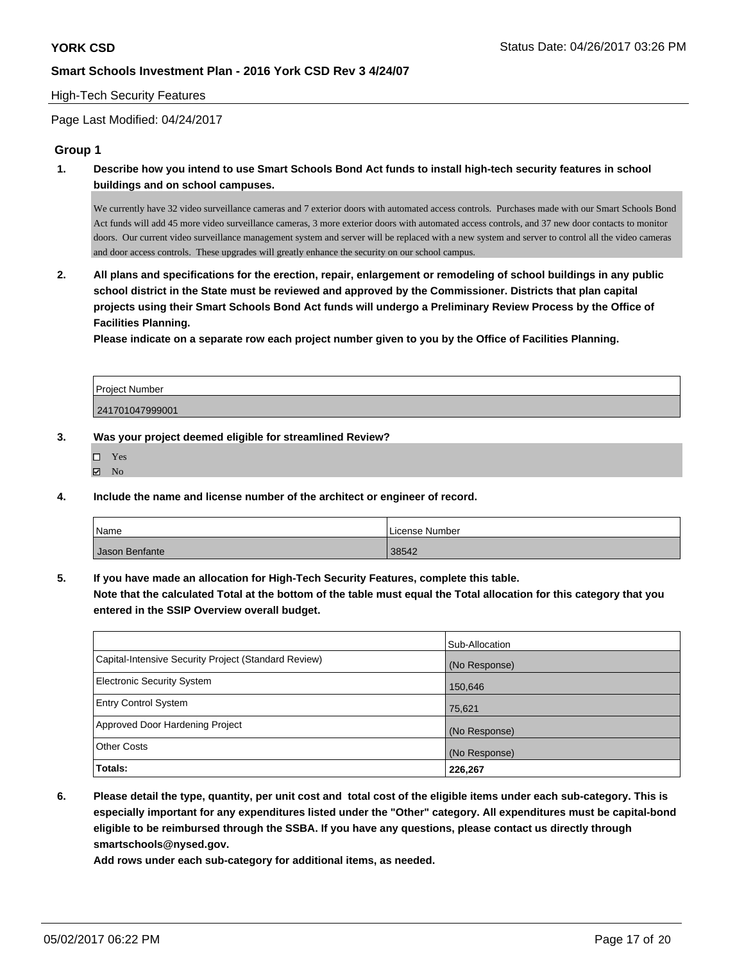#### High-Tech Security Features

Page Last Modified: 04/24/2017

## **Group 1**

**1. Describe how you intend to use Smart Schools Bond Act funds to install high-tech security features in school buildings and on school campuses.**

We currently have 32 video surveillance cameras and 7 exterior doors with automated access controls. Purchases made with our Smart Schools Bond Act funds will add 45 more video surveillance cameras, 3 more exterior doors with automated access controls, and 37 new door contacts to monitor doors. Our current video surveillance management system and server will be replaced with a new system and server to control all the video cameras and door access controls. These upgrades will greatly enhance the security on our school campus.

**2. All plans and specifications for the erection, repair, enlargement or remodeling of school buildings in any public school district in the State must be reviewed and approved by the Commissioner. Districts that plan capital projects using their Smart Schools Bond Act funds will undergo a Preliminary Review Process by the Office of Facilities Planning.** 

**Please indicate on a separate row each project number given to you by the Office of Facilities Planning.**

| <b>Project Number</b> |  |
|-----------------------|--|
| 241701047999001       |  |

#### **3. Was your project deemed eligible for streamlined Review?**

| ٠<br>٠<br>٠ |  |
|-------------|--|
|-------------|--|

- **Ø** No
- **4. Include the name and license number of the architect or engineer of record.**

| Name           | License Number |
|----------------|----------------|
| Jason Benfante | 38542          |

**5. If you have made an allocation for High-Tech Security Features, complete this table.**

**Note that the calculated Total at the bottom of the table must equal the Total allocation for this category that you entered in the SSIP Overview overall budget.**

|                                                      | Sub-Allocation |
|------------------------------------------------------|----------------|
| Capital-Intensive Security Project (Standard Review) | (No Response)  |
| <b>Electronic Security System</b>                    | 150,646        |
| <b>Entry Control System</b>                          | 75,621         |
| Approved Door Hardening Project                      | (No Response)  |
| <b>Other Costs</b>                                   | (No Response)  |
| Totals:                                              | 226,267        |

**6. Please detail the type, quantity, per unit cost and total cost of the eligible items under each sub-category. This is especially important for any expenditures listed under the "Other" category. All expenditures must be capital-bond eligible to be reimbursed through the SSBA. If you have any questions, please contact us directly through smartschools@nysed.gov.**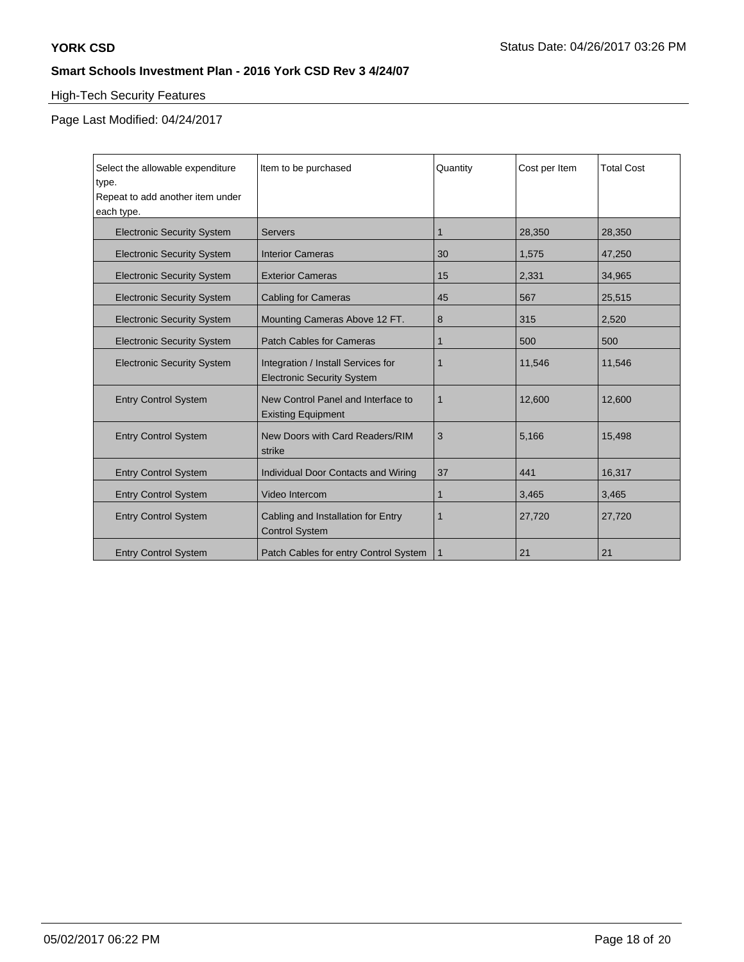# High-Tech Security Features

| Select the allowable expenditure<br>type.<br>Repeat to add another item under | Item to be purchased                                                    | Quantity | Cost per Item | <b>Total Cost</b> |
|-------------------------------------------------------------------------------|-------------------------------------------------------------------------|----------|---------------|-------------------|
| each type.                                                                    |                                                                         |          |               |                   |
| <b>Electronic Security System</b>                                             | <b>Servers</b>                                                          | 1        | 28,350        | 28,350            |
| <b>Electronic Security System</b>                                             | <b>Interior Cameras</b>                                                 | 30       | 1,575         | 47,250            |
| <b>Electronic Security System</b>                                             | <b>Exterior Cameras</b>                                                 | 15       | 2,331         | 34,965            |
| <b>Electronic Security System</b>                                             | <b>Cabling for Cameras</b>                                              | 45       | 567           | 25,515            |
| <b>Electronic Security System</b>                                             | Mounting Cameras Above 12 FT.                                           | 8        | 315           | 2,520             |
| <b>Electronic Security System</b>                                             | <b>Patch Cables for Cameras</b>                                         | 1        | 500           | 500               |
| <b>Electronic Security System</b>                                             | Integration / Install Services for<br><b>Electronic Security System</b> |          | 11,546        | 11,546            |
| <b>Entry Control System</b>                                                   | New Control Panel and Interface to<br><b>Existing Equipment</b>         | 1        | 12,600        | 12,600            |
| <b>Entry Control System</b>                                                   | New Doors with Card Readers/RIM<br>strike                               | 3        | 5,166         | 15,498            |
| <b>Entry Control System</b>                                                   | Individual Door Contacts and Wiring                                     | 37       | 441           | 16,317            |
| <b>Entry Control System</b>                                                   | Video Intercom                                                          |          | 3,465         | 3,465             |
| <b>Entry Control System</b>                                                   | Cabling and Installation for Entry<br><b>Control System</b>             | 1        | 27,720        | 27,720            |
| <b>Entry Control System</b>                                                   | Patch Cables for entry Control System                                   | 1        | 21            | 21                |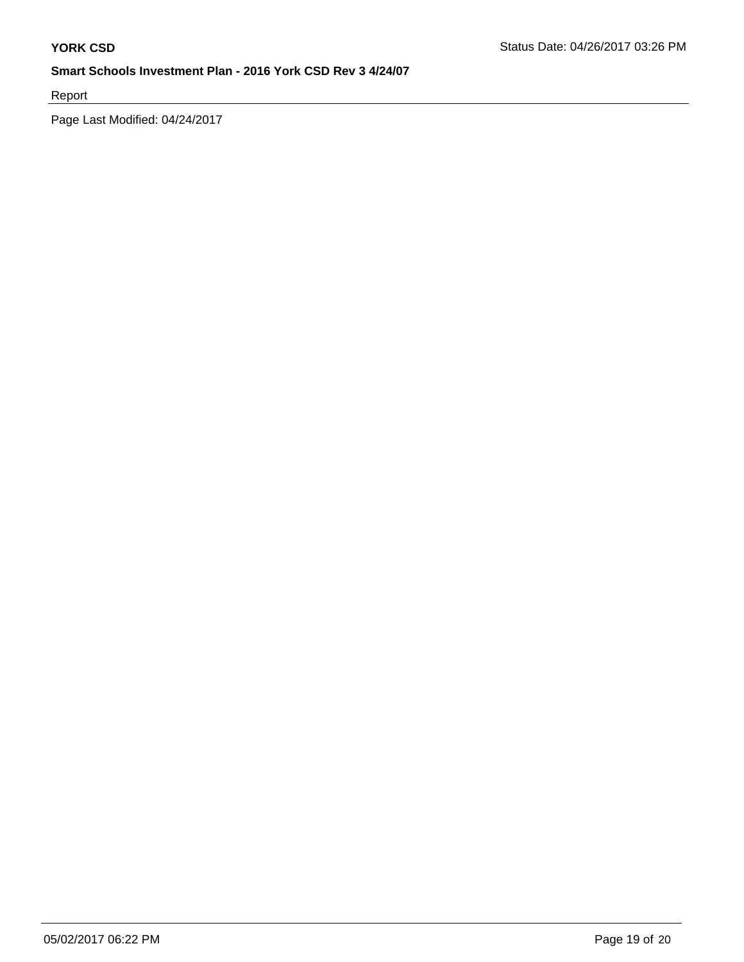Report